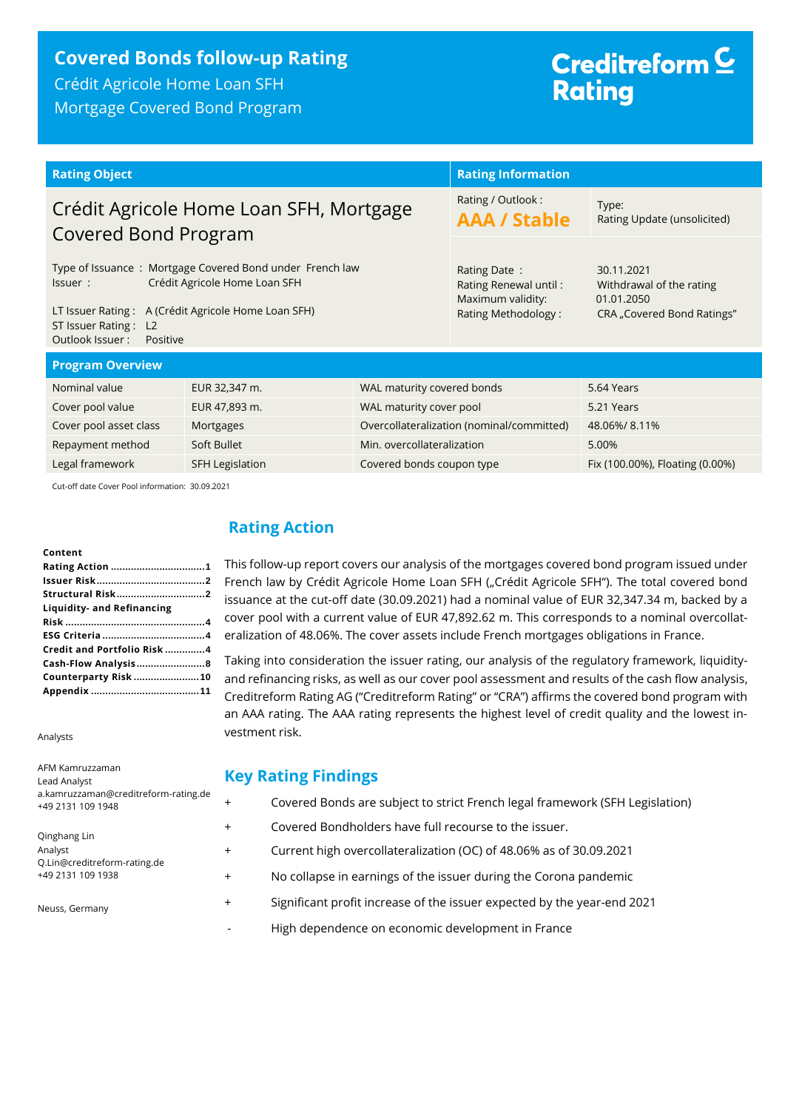## **Covered Bonds follow-up Rating**

Crédit Agricole Home Loan SFH Mortgage Covered Bond Program

# Creditreform<sup>C</sup> **Rating**

| <b>Rating Object</b>                                                                                                                                                                                               |                                           |                            | <b>Rating Information</b>                                                         |                                                                                    |
|--------------------------------------------------------------------------------------------------------------------------------------------------------------------------------------------------------------------|-------------------------------------------|----------------------------|-----------------------------------------------------------------------------------|------------------------------------------------------------------------------------|
| Crédit Agricole Home Loan SFH, Mortgage<br>Covered Bond Program                                                                                                                                                    |                                           |                            | Rating / Outlook:<br><b>AAA / Stable</b>                                          | Type:<br>Rating Update (unsolicited)                                               |
| Type of Issuance: Mortgage Covered Bond under French law<br>Crédit Agricole Home Loan SFH<br>Issuer:<br>LT Issuer Rating: A (Crédit Agricole Home Loan SFH)<br>ST Issuer Rating: L2<br>Outlook Issuer:<br>Positive |                                           |                            | Rating Date:<br>Rating Renewal until:<br>Maximum validity:<br>Rating Methodology: | 30.11.2021<br>Withdrawal of the rating<br>01.01.2050<br>CRA "Covered Bond Ratings" |
| <b>Program Overview</b>                                                                                                                                                                                            |                                           |                            |                                                                                   |                                                                                    |
| Nominal value                                                                                                                                                                                                      | EUR 32,347 m.                             | WAL maturity covered bonds |                                                                                   | 5.64 Years                                                                         |
| Cover pool value                                                                                                                                                                                                   | EUR 47,893 m.<br>WAL maturity cover pool  |                            |                                                                                   | 5.21 Years                                                                         |
| Cover pool asset class                                                                                                                                                                                             | Mortgages                                 |                            | Overcollateralization (nominal/committed)                                         | 48.06%/8.11%                                                                       |
| Repayment method                                                                                                                                                                                                   | Min. overcollateralization<br>Soft Bullet |                            |                                                                                   | 5.00%                                                                              |
| Legal framework                                                                                                                                                                                                    | <b>SFH Legislation</b>                    | Covered bonds coupon type  |                                                                                   | Fix (100.00%), Floating (0.00%)                                                    |
|                                                                                                                                                                                                                    |                                           |                            |                                                                                   |                                                                                    |

This follow-up report covers our analysis of the mortgages covered bond program issued under French law by Crédit Agricole Home Loan SFH ("Crédit Agricole SFH"). The total covered bond issuance at the cut-off date (30.09.2021) had a nominal value of EUR 32,347.34 m, backed by a cover pool with a current value of EUR 47,892.62 m. This corresponds to a nominal overcollat-

Taking into consideration the issuer rating, our analysis of the regulatory framework, liquidityand refinancing risks, as well as our cover pool assessment and results of the cash flow analysis, Creditreform Rating AG ("Creditreform Rating" or "CRA") affirms the covered bond program with an AAA rating. The AAA rating represents the highest level of credit quality and the lowest in-

eralization of 48.06%. The cover assets include French mortgages obligations in France.

Cut-off date Cover Pool information: 30.09.2021

#### **Content**

| Rating Action 1             |  |
|-----------------------------|--|
|                             |  |
| <b>Structural Risk2</b>     |  |
| Liquidity- and Refinancing  |  |
|                             |  |
|                             |  |
| Credit and Portfolio Risk 4 |  |
| Cash-Flow Analysis8         |  |
| Counterparty Risk 10        |  |
|                             |  |

Analysts

| AFM Kamruzzaman<br>Lead Analyst                                              |           | <b>Key Rating Findings</b>                                                   |
|------------------------------------------------------------------------------|-----------|------------------------------------------------------------------------------|
| a.kamruzzaman@creditreform-rating.de<br>+49 2131 109 1948                    | $\pm$     | Covered Bonds are subject to strict French legal framework (SFH Legislation) |
| Qinghang Lin<br>Analyst<br>Q.Lin@creditreform-rating.de<br>+49 2131 109 1938 | $+$       | Covered Bondholders have full recourse to the issuer.                        |
|                                                                              | $+$       | Current high overcollateralization (OC) of 48.06% as of 30.09.2021           |
|                                                                              | $^{+}$    | No collapse in earnings of the issuer during the Corona pandemic             |
| Neuss, Germany                                                               | $\ddot{}$ | Significant profit increase of the issuer expected by the year-end 2021      |
|                                                                              |           |                                                                              |

<span id="page-0-0"></span>**Rating Action**

vestment risk.

High dependence on economic development in France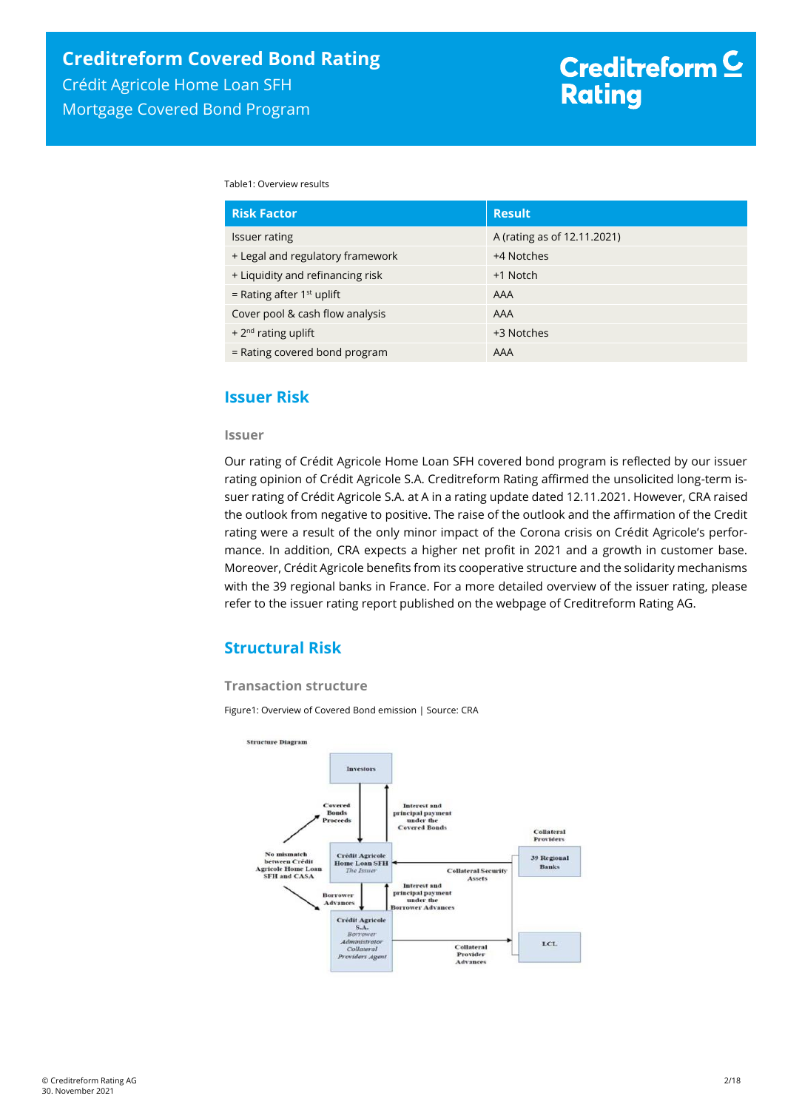Table1: Overview results

| <b>Risk Factor</b>               | <b>Result</b>               |
|----------------------------------|-----------------------------|
| <b>Issuer rating</b>             | A (rating as of 12.11.2021) |
| + Legal and regulatory framework | +4 Notches                  |
| + Liquidity and refinancing risk | +1 Notch                    |
| = Rating after $1st$ uplift      | AAA                         |
| Cover pool & cash flow analysis  | <b>AAA</b>                  |
| + $2^{nd}$ rating uplift         | +3 Notches                  |
| = Rating covered bond program    | <b>AAA</b>                  |

### <span id="page-1-0"></span>**Issuer Risk**

#### **Issuer**

Our rating of Crédit Agricole Home Loan SFH covered bond program is reflected by our issuer rating opinion of Crédit Agricole S.A. Creditreform Rating affirmed the unsolicited long-term issuer rating of Crédit Agricole S.A. at A in a rating update dated 12.11.2021. However, CRA raised the outlook from negative to positive. The raise of the outlook and the affirmation of the Credit rating were a result of the only minor impact of the Corona crisis on Crédit Agricole's performance. In addition, CRA expects a higher net profit in 2021 and a growth in customer base. Moreover, Crédit Agricole benefits from its cooperative structure and the solidarity mechanisms with the 39 regional banks in France. For a more detailed overview of the issuer rating, please refer to the issuer rating report published on the webpage of Creditreform Rating AG.

## <span id="page-1-1"></span>**Structural Risk**

#### **Transaction structure**

Figure1: Overview of Covered Bond emission | Source: CRA

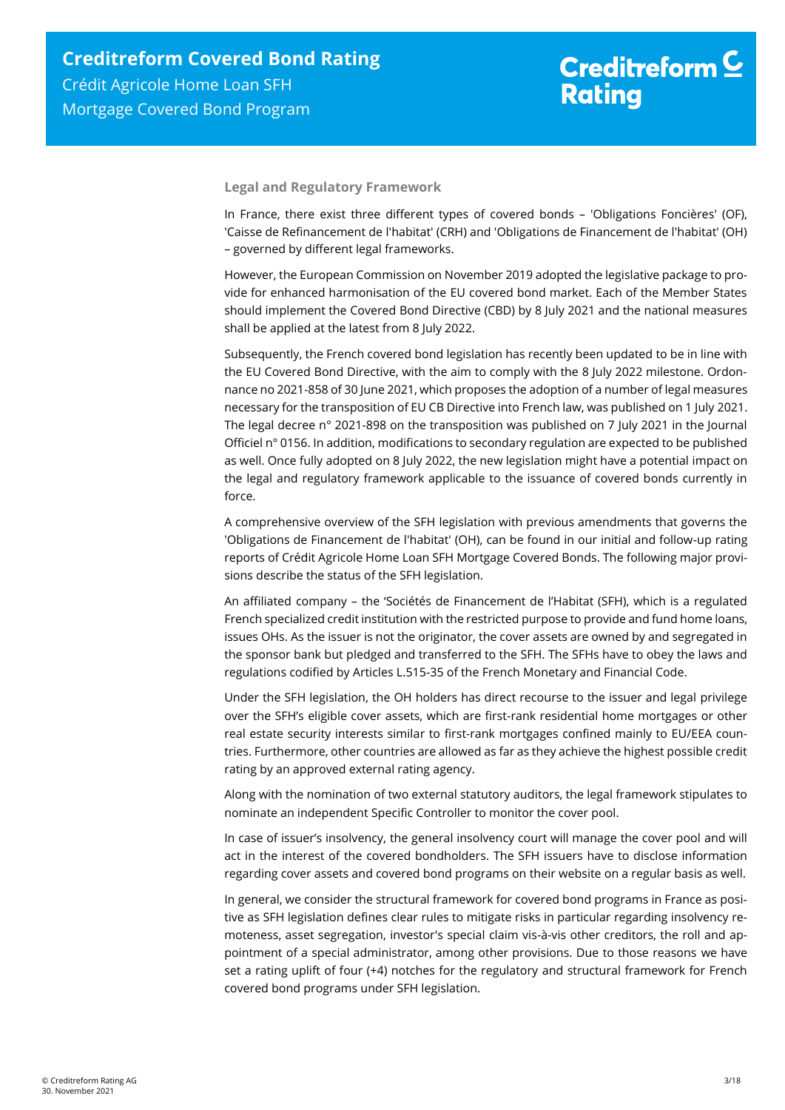#### **Legal and Regulatory Framework**

In France, there exist three different types of covered bonds – 'Obligations Foncières' (OF), 'Caisse de Refinancement de l'habitat' (CRH) and 'Obligations de Financement de l'habitat' (OH) – governed by different legal frameworks.

However, the European Commission on November 2019 adopted the legislative package to provide for enhanced harmonisation of the EU covered bond market. Each of the Member States should implement the Covered Bond Directive (CBD) by 8 July 2021 and the national measures shall be applied at the latest from 8 July 2022.

Subsequently, the French covered bond legislation has recently been updated to be in line with the EU Covered Bond Directive, with the aim to comply with the 8 July 2022 milestone. Ordonnance no 2021-858 of 30 June 2021, which proposes the adoption of a number of legal measures necessary for the transposition of EU CB Directive into French law, was published on 1 July 2021. The legal decree n° 2021-898 on the transposition was published on 7 July 2021 in the Journal Officiel n° 0156. In addition, modifications to secondary regulation are expected to be published as well. Once fully adopted on 8 July 2022, the new legislation might have a potential impact on the legal and regulatory framework applicable to the issuance of covered bonds currently in force.

A comprehensive overview of the SFH legislation with previous amendments that governs the 'Obligations de Financement de l'habitat' (OH), can be found in our initial and follow-up rating reports of Crédit Agricole Home Loan SFH Mortgage Covered Bonds. The following major provisions describe the status of the SFH legislation.

An affiliated company – the 'Sociétés de Financement de l'Habitat (SFH), which is a regulated French specialized credit institution with the restricted purpose to provide and fund home loans, issues OHs. As the issuer is not the originator, the cover assets are owned by and segregated in the sponsor bank but pledged and transferred to the SFH. The SFHs have to obey the laws and regulations codified by Articles L.515-35 of the French Monetary and Financial Code.

Under the SFH legislation, the OH holders has direct recourse to the issuer and legal privilege over the SFH's eligible cover assets, which are first-rank residential home mortgages or other real estate security interests similar to first-rank mortgages confined mainly to EU/EEA countries. Furthermore, other countries are allowed as far as they achieve the highest possible credit rating by an approved external rating agency.

Along with the nomination of two external statutory auditors, the legal framework stipulates to nominate an independent Specific Controller to monitor the cover pool.

In case of issuer's insolvency, the general insolvency court will manage the cover pool and will act in the interest of the covered bondholders. The SFH issuers have to disclose information regarding cover assets and covered bond programs on their website on a regular basis as well.

In general, we consider the structural framework for covered bond programs in France as positive as SFH legislation defines clear rules to mitigate risks in particular regarding insolvency remoteness, asset segregation, investor's special claim vis-à-vis other creditors, the roll and appointment of a special administrator, among other provisions. Due to those reasons we have set a rating uplift of four (+4) notches for the regulatory and structural framework for French covered bond programs under SFH legislation.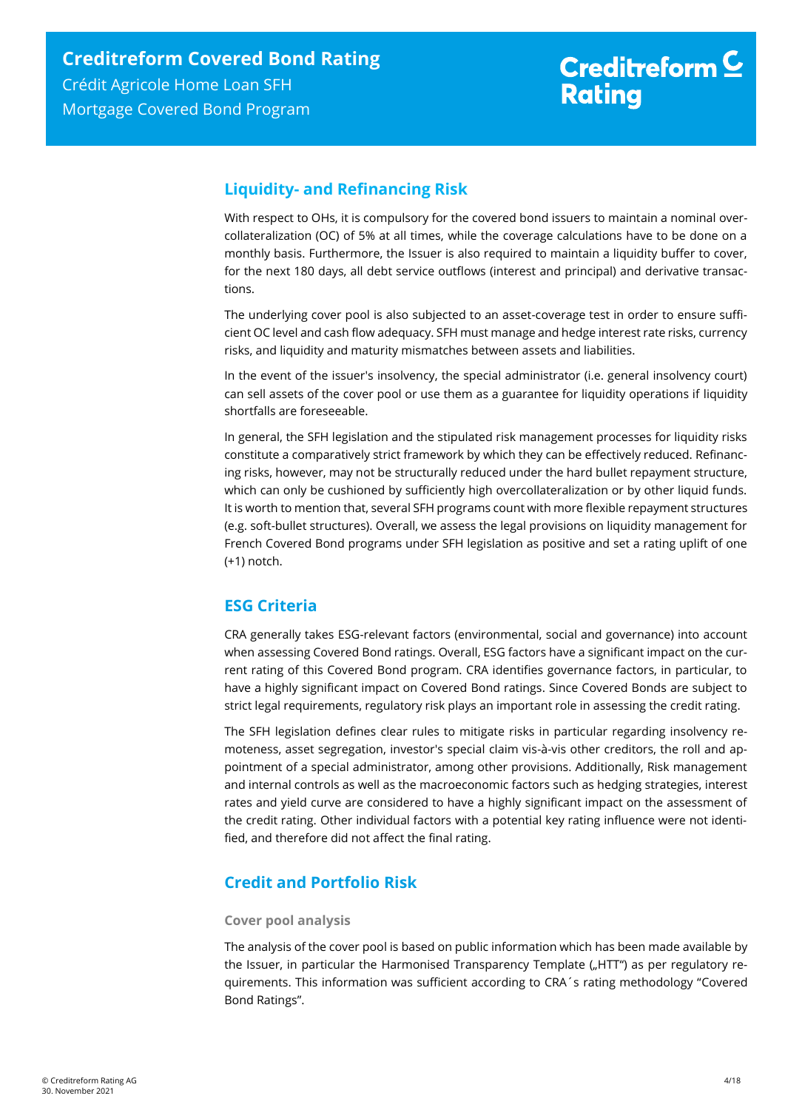## <span id="page-3-0"></span>**Liquidity- and Refinancing Risk**

With respect to OHs, it is compulsory for the covered bond issuers to maintain a nominal overcollateralization (OC) of 5% at all times, while the coverage calculations have to be done on a monthly basis. Furthermore, the Issuer is also required to maintain a liquidity buffer to cover, for the next 180 days, all debt service outflows (interest and principal) and derivative transactions.

The underlying cover pool is also subjected to an asset-coverage test in order to ensure sufficient OC level and cash flow adequacy. SFH must manage and hedge interest rate risks, currency risks, and liquidity and maturity mismatches between assets and liabilities.

In the event of the issuer's insolvency, the special administrator (i.e. general insolvency court) can sell assets of the cover pool or use them as a guarantee for liquidity operations if liquidity shortfalls are foreseeable.

In general, the SFH legislation and the stipulated risk management processes for liquidity risks constitute a comparatively strict framework by which they can be effectively reduced. Refinancing risks, however, may not be structurally reduced under the hard bullet repayment structure, which can only be cushioned by sufficiently high overcollateralization or by other liquid funds. It is worth to mention that, several SFH programs count with more flexible repayment structures (e.g. soft-bullet structures). Overall, we assess the legal provisions on liquidity management for French Covered Bond programs under SFH legislation as positive and set a rating uplift of one (+1) notch.

## <span id="page-3-1"></span>**ESG Criteria**

CRA generally takes ESG-relevant factors (environmental, social and governance) into account when assessing Covered Bond ratings. Overall, ESG factors have a significant impact on the current rating of this Covered Bond program. CRA identifies governance factors, in particular, to have a highly significant impact on Covered Bond ratings. Since Covered Bonds are subject to strict legal requirements, regulatory risk plays an important role in assessing the credit rating.

The SFH legislation defines clear rules to mitigate risks in particular regarding insolvency remoteness, asset segregation, investor's special claim vis-à-vis other creditors, the roll and appointment of a special administrator, among other provisions. Additionally, Risk management and internal controls as well as the macroeconomic factors such as hedging strategies, interest rates and yield curve are considered to have a highly significant impact on the assessment of the credit rating. Other individual factors with a potential key rating influence were not identified, and therefore did not affect the final rating.

## <span id="page-3-2"></span>**Credit and Portfolio Risk**

#### **Cover pool analysis**

The analysis of the cover pool is based on public information which has been made available by the Issuer, in particular the Harmonised Transparency Template ("HTT") as per regulatory requirements. This information was sufficient according to CRA´s rating methodology "Covered Bond Ratings".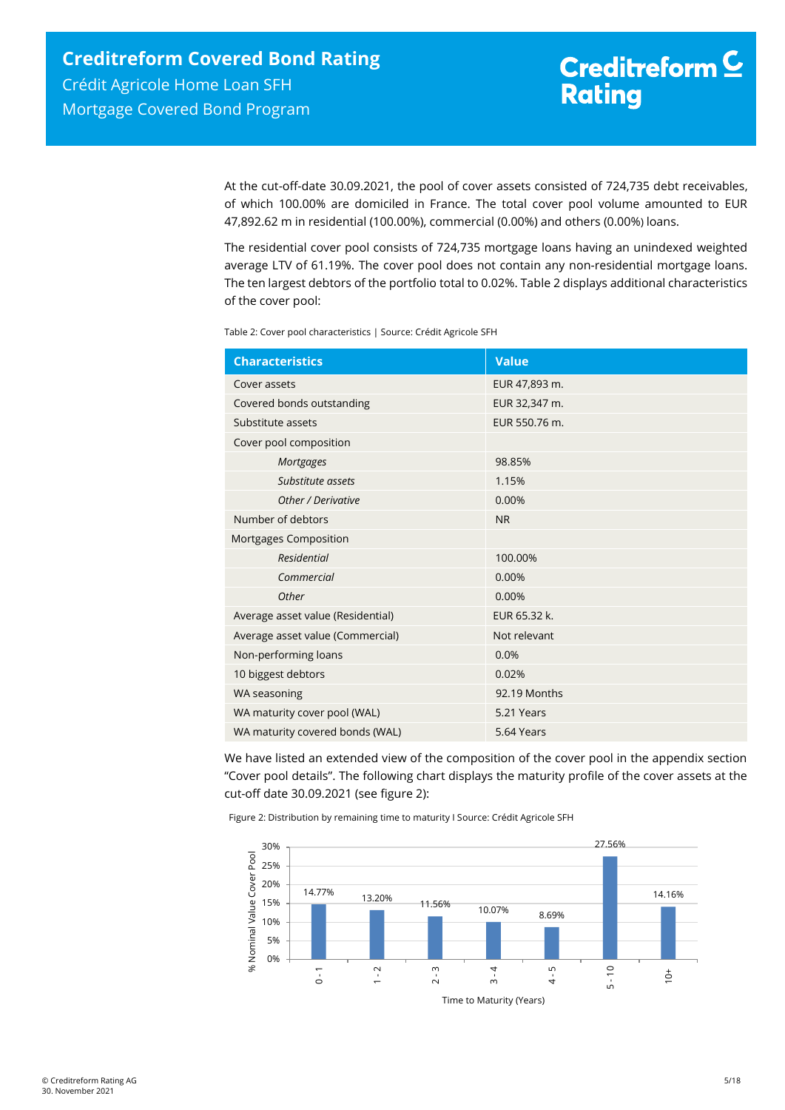At the cut-off-date 30.09.2021, the pool of cover assets consisted of 724,735 debt receivables, of which 100.00% are domiciled in France. The total cover pool volume amounted to EUR 47,892.62 m in residential (100.00%), commercial (0.00%) and others (0.00%) loans.

The residential cover pool consists of 724,735 mortgage loans having an unindexed weighted average LTV of 61.19%. The cover pool does not contain any non-residential mortgage loans. The ten largest debtors of the portfolio total to 0.02%. [Table 2](#page-4-0) displays additional characteristics of the cover pool:

<span id="page-4-0"></span>Table 2: Cover pool characteristics | Source: Crédit Agricole SFH

| <b>Characteristics</b>            | <b>Value</b>  |
|-----------------------------------|---------------|
| Cover assets                      | EUR 47,893 m. |
| Covered bonds outstanding         | EUR 32,347 m. |
| Substitute assets                 | EUR 550.76 m. |
| Cover pool composition            |               |
| <b>Mortgages</b>                  | 98.85%        |
| Substitute assets                 | 1.15%         |
| Other / Derivative                | 0.00%         |
| Number of debtors                 | <b>NR</b>     |
| Mortgages Composition             |               |
| Residential                       | 100.00%       |
| Commercial                        | 0.00%         |
| Other                             | 0.00%         |
| Average asset value (Residential) | EUR 65.32 k.  |
| Average asset value (Commercial)  | Not relevant  |
| Non-performing loans              | 0.0%          |
| 10 biggest debtors                | 0.02%         |
| WA seasoning                      | 92.19 Months  |
| WA maturity cover pool (WAL)      | 5.21 Years    |
| WA maturity covered bonds (WAL)   | 5.64 Years    |

We have listed an extended view of the composition of the cover pool in the appendix section "Cover pool details". The following chart displays the maturity profile of the cover assets at the cut-off date 30.09.2021 (see [figure 2\)](#page-4-1):

<span id="page-4-1"></span>Figure 2: Distribution by remaining time to maturity I Source: Crédit Agricole SFH

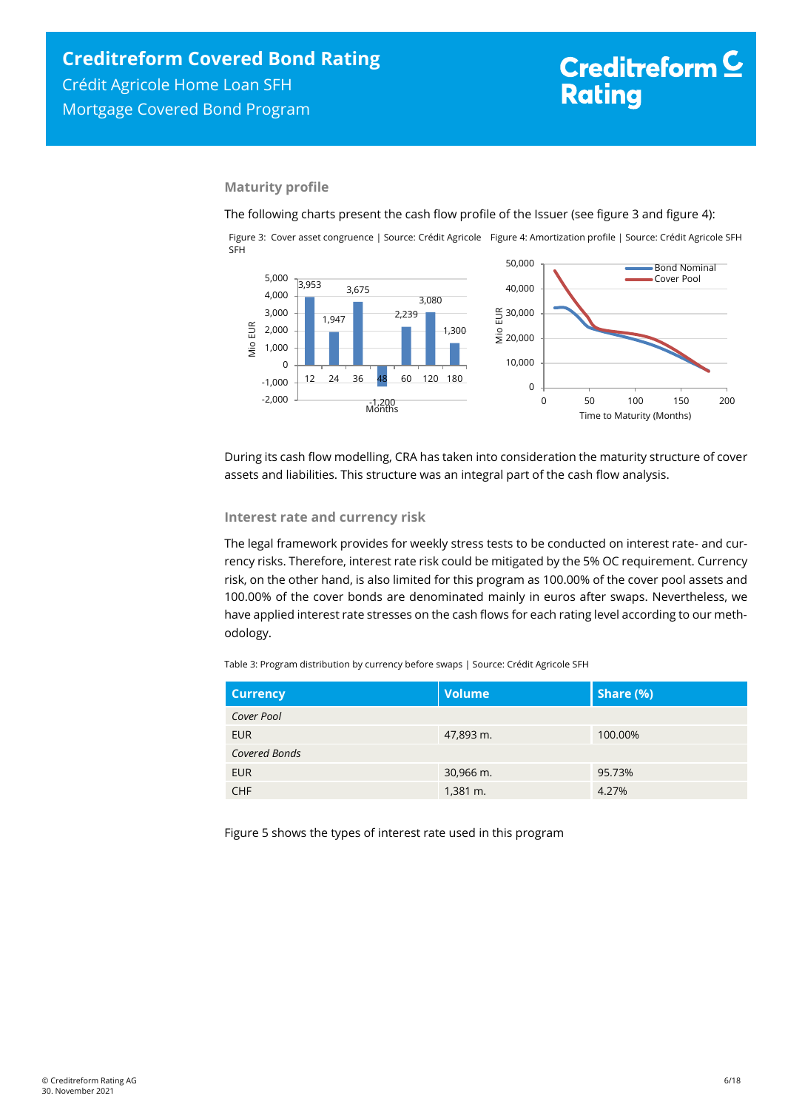# <span id="page-5-1"></span>Creditreform<sup>C</sup> **Rating**

Time to Maturity (Months)

#### **Maturity profile**

The following charts present the cash flow profile of the Issuer (see [figure 3](#page-5-0) an[d figure 4\)](#page-5-1):



<span id="page-5-0"></span>Figure 3: Cover asset congruence | Source: Crédit Agricole Figure 4: Amortization profile | Source: Crédit Agricole SFH SFH

During its cash flow modelling, CRA has taken into consideration the maturity structure of cover assets and liabilities. This structure was an integral part of the cash flow analysis.

#### **Interest rate and currency risk**

The legal framework provides for weekly stress tests to be conducted on interest rate- and currency risks. Therefore, interest rate risk could be mitigated by the 5% OC requirement. Currency risk, on the other hand, is also limited for this program as 100.00% of the cover pool assets and 100.00% of the cover bonds are denominated mainly in euros after swaps. Nevertheless, we have applied interest rate stresses on the cash flows for each rating level according to our methodology.

Table 3: Program distribution by currency before swaps | Source: Crédit Agricole SFH

| <b>Currency</b> | <b>Volume</b>       | $\vert$ Share (%) |  |  |
|-----------------|---------------------|-------------------|--|--|
| Cover Pool      |                     |                   |  |  |
| <b>EUR</b>      | 47,893 m.           | 100.00%           |  |  |
| Covered Bonds   |                     |                   |  |  |
| <b>EUR</b>      | 30,966 m.           | 95.73%            |  |  |
| <b>CHF</b>      | $1,381 \text{ m}$ . | 4.27%             |  |  |

Figure 5 shows the types of interest rate used in this program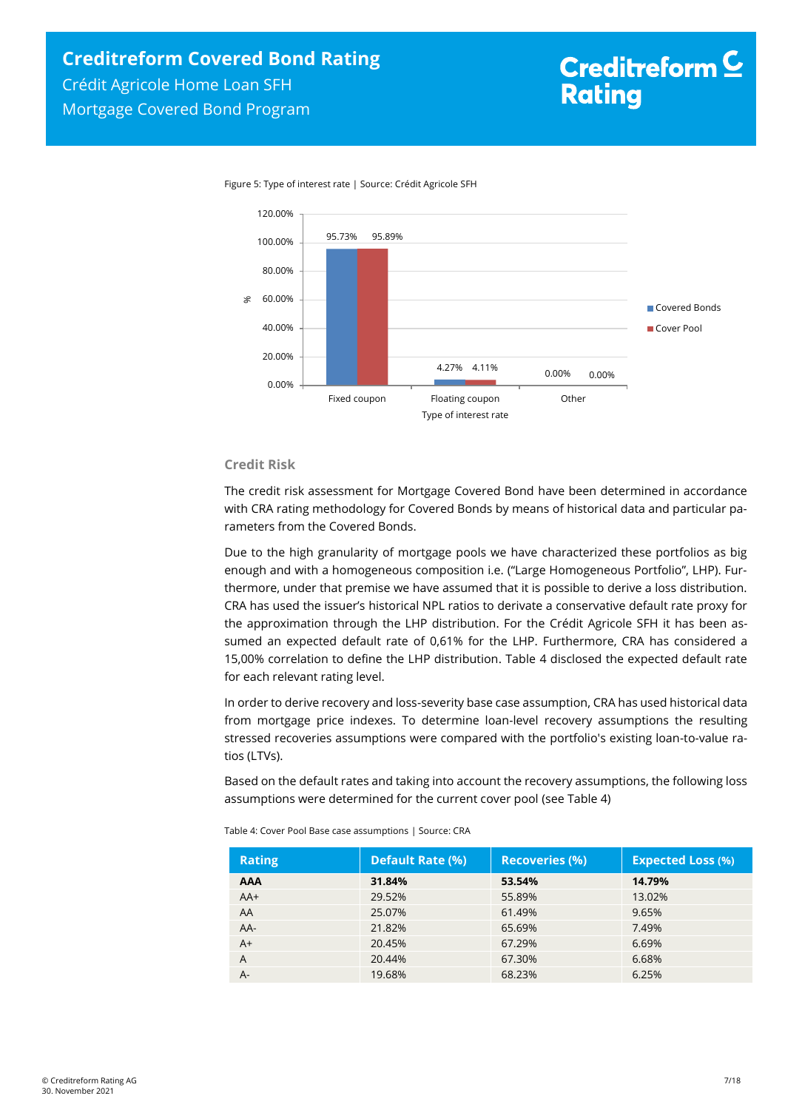

Figure 5: Type of interest rate | Source: Crédit Agricole SFH

#### **Credit Risk**

The credit risk assessment for Mortgage Covered Bond have been determined in accordance with CRA rating methodology for Covered Bonds by means of historical data and particular parameters from the Covered Bonds.

Due to the high granularity of mortgage pools we have characterized these portfolios as big enough and with a homogeneous composition i.e. ("Large Homogeneous Portfolio", LHP). Furthermore, under that premise we have assumed that it is possible to derive a loss distribution. CRA has used the issuer's historical NPL ratios to derivate a conservative default rate proxy for the approximation through the LHP distribution. For the Crédit Agricole SFH it has been assumed an expected default rate of 0,61% for the LHP. Furthermore, CRA has considered a 15,00% correlation to define the LHP distribution. [Table 4](#page-6-0) disclosed the expected default rate for each relevant rating level.

In order to derive recovery and loss-severity base case assumption, CRA has used historical data from mortgage price indexes. To determine loan-level recovery assumptions the resulting stressed recoveries assumptions were compared with the portfolio's existing loan-to-value ratios (LTVs).

Based on the default rates and taking into account the recovery assumptions, the following loss assumptions were determined for the current cover pool (se[e Table 4\)](#page-6-0)

| <b>Rating</b> | <b>Default Rate (%)</b> | <b>Recoveries (%)</b> | <b>Expected Loss (%)</b> |
|---------------|-------------------------|-----------------------|--------------------------|
| <b>AAA</b>    | 31.84%                  | 53.54%                | 14.79%                   |
| $AA+$         | 29.52%                  | 55.89%                | 13.02%                   |
| AA            | 25.07%                  | 61.49%                | 9.65%                    |
| $AA-$         | 21.82%                  | 65.69%                | 7.49%                    |
| $A+$          | 20.45%                  | 67.29%                | 6.69%                    |
| A             | 20.44%                  | 67.30%                | 6.68%                    |
| A-            | 19.68%                  | 68.23%                | 6.25%                    |

<span id="page-6-0"></span>Table 4: Cover Pool Base case assumptions | Source: CRA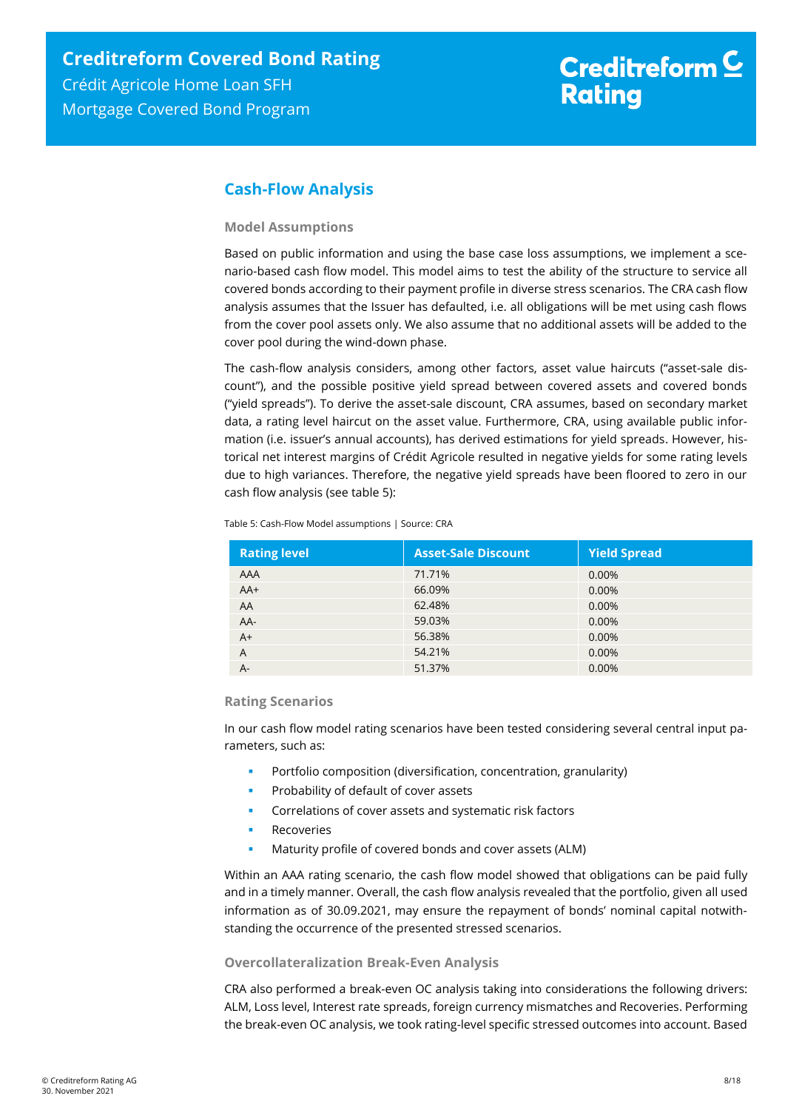# Creditreform<sup>C</sup> **Rating**

## <span id="page-7-0"></span>**Cash-Flow Analysis**

#### **Model Assumptions**

Based on public information and using the base case loss assumptions, we implement a scenario-based cash flow model. This model aims to test the ability of the structure to service all covered bonds according to their payment profile in diverse stress scenarios. The CRA cash flow analysis assumes that the Issuer has defaulted, i.e. all obligations will be met using cash flows from the cover pool assets only. We also assume that no additional assets will be added to the cover pool during the wind-down phase.

The cash-flow analysis considers, among other factors, asset value haircuts ("asset-sale discount"), and the possible positive yield spread between covered assets and covered bonds ("yield spreads"). To derive the asset-sale discount, CRA assumes, based on secondary market data, a rating level haircut on the asset value. Furthermore, CRA, using available public information (i.e. issuer's annual accounts), has derived estimations for yield spreads. However, historical net interest margins of Crédit Agricole resulted in negative yields for some rating levels due to high variances. Therefore, the negative yield spreads have been floored to zero in our cash flow analysis (se[e table 5\)](#page-7-1):

<span id="page-7-1"></span>

| Table 5: Cash-Flow Model assumptions   Source: CRA |
|----------------------------------------------------|
|----------------------------------------------------|

| <b>Rating level</b> | <b>Asset-Sale Discount</b> | <b>Yield Spread</b> |
|---------------------|----------------------------|---------------------|
| AAA                 | 71.71%                     | 0.00%               |
| $AA+$               | 66.09%                     | 0.00%               |
| AA                  | 62.48%                     | 0.00%               |
| $AA-$               | 59.03%                     | 0.00%               |
| $A+$                | 56.38%                     | 0.00%               |
| $\overline{A}$      | 54.21%                     | 0.00%               |
| A-                  | 51.37%                     | 0.00%               |

#### **Rating Scenarios**

In our cash flow model rating scenarios have been tested considering several central input parameters, such as:

- **•** Portfolio composition (diversification, concentration, granularity)
- Probability of default of cover assets
- Correlations of cover assets and systematic risk factors
- Recoveries
- Maturity profile of covered bonds and cover assets (ALM)

Within an AAA rating scenario, the cash flow model showed that obligations can be paid fully and in a timely manner. Overall, the cash flow analysis revealed that the portfolio, given all used information as of 30.09.2021, may ensure the repayment of bonds' nominal capital notwithstanding the occurrence of the presented stressed scenarios.

#### **Overcollateralization Break-Even Analysis**

CRA also performed a break-even OC analysis taking into considerations the following drivers: ALM, Loss level, Interest rate spreads, foreign currency mismatches and Recoveries. Performing the break-even OC analysis, we took rating-level specific stressed outcomes into account. Based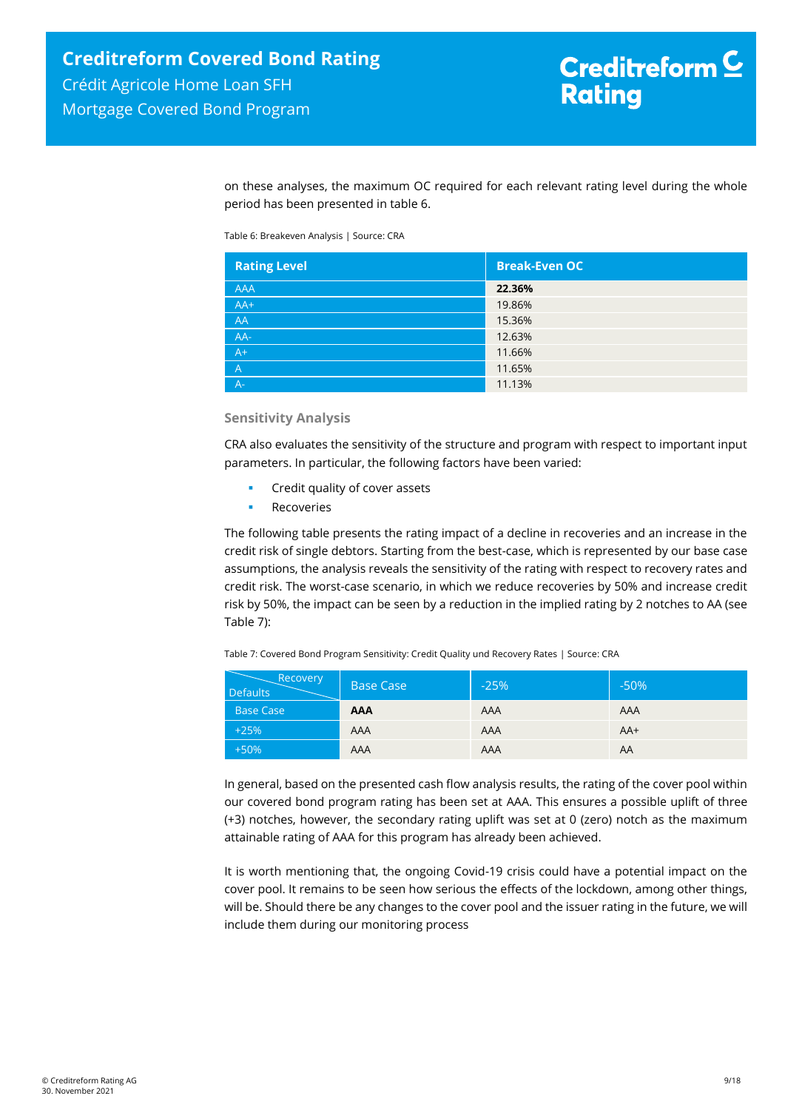on these analyses, the maximum OC required for each relevant rating level during the whole period has been presented in [table 6.](#page-8-0)

<span id="page-8-0"></span>Table 6: Breakeven Analysis | Source: CRA

| <b>Rating Level</b> | <b>Break-Even OC</b> |
|---------------------|----------------------|
| <b>AAA</b>          | 22.36%               |
| $AA+$               | 19.86%               |
| AA                  | 15.36%               |
| $AA-$               | 12.63%               |
| $A^+$               | 11.66%               |
| $\overline{A}$      | 11.65%               |
| $A -$               | 11.13%               |

#### **Sensitivity Analysis**

CRA also evaluates the sensitivity of the structure and program with respect to important input parameters. In particular, the following factors have been varied:

- Credit quality of cover assets
- Recoveries

The following table presents the rating impact of a decline in recoveries and an increase in the credit risk of single debtors. Starting from the best-case, which is represented by our base case assumptions, the analysis reveals the sensitivity of the rating with respect to recovery rates and credit risk. The worst-case scenario, in which we reduce recoveries by 50% and increase credit risk by 50%, the impact can be seen by a reduction in the implied rating by 2 notches to AA (see [Table 7\)](#page-8-1):

<span id="page-8-1"></span>Table 7: Covered Bond Program Sensitivity: Credit Quality und Recovery Rates | Source: CRA

| Recovery<br><b>Defaults</b> | <b>Base Case</b> | $-25%$     | $-50%$ |
|-----------------------------|------------------|------------|--------|
| <b>Base Case</b>            | <b>AAA</b>       | AAA        | AAA    |
| $+25%$                      | AAA              | AAA        | $AA+$  |
| $+50%$                      | AAA              | <b>AAA</b> | AA     |

In general, based on the presented cash flow analysis results, the rating of the cover pool within our covered bond program rating has been set at AAA. This ensures a possible uplift of three (+3) notches, however, the secondary rating uplift was set at 0 (zero) notch as the maximum attainable rating of AAA for this program has already been achieved.

It is worth mentioning that, the ongoing Covid-19 crisis could have a potential impact on the cover pool. It remains to be seen how serious the effects of the lockdown, among other things, will be. Should there be any changes to the cover pool and the issuer rating in the future, we will include them during our monitoring process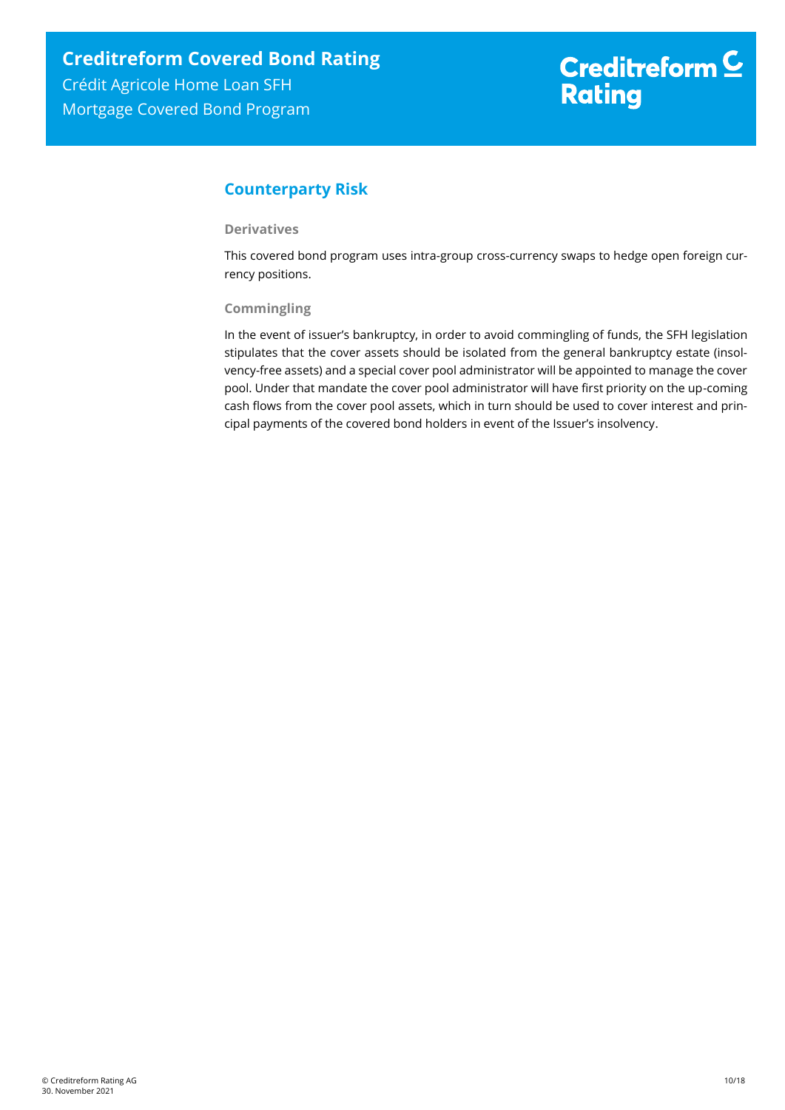# Creditreform<sup>C</sup> **Rating**

## <span id="page-9-0"></span>**Counterparty Risk**

#### **Derivatives**

This covered bond program uses intra-group cross-currency swaps to hedge open foreign currency positions.

#### **Commingling**

In the event of issuer's bankruptcy, in order to avoid commingling of funds, the SFH legislation stipulates that the cover assets should be isolated from the general bankruptcy estate (insolvency-free assets) and a special cover pool administrator will be appointed to manage the cover pool. Under that mandate the cover pool administrator will have first priority on the up-coming cash flows from the cover pool assets, which in turn should be used to cover interest and principal payments of the covered bond holders in event of the Issuer's insolvency.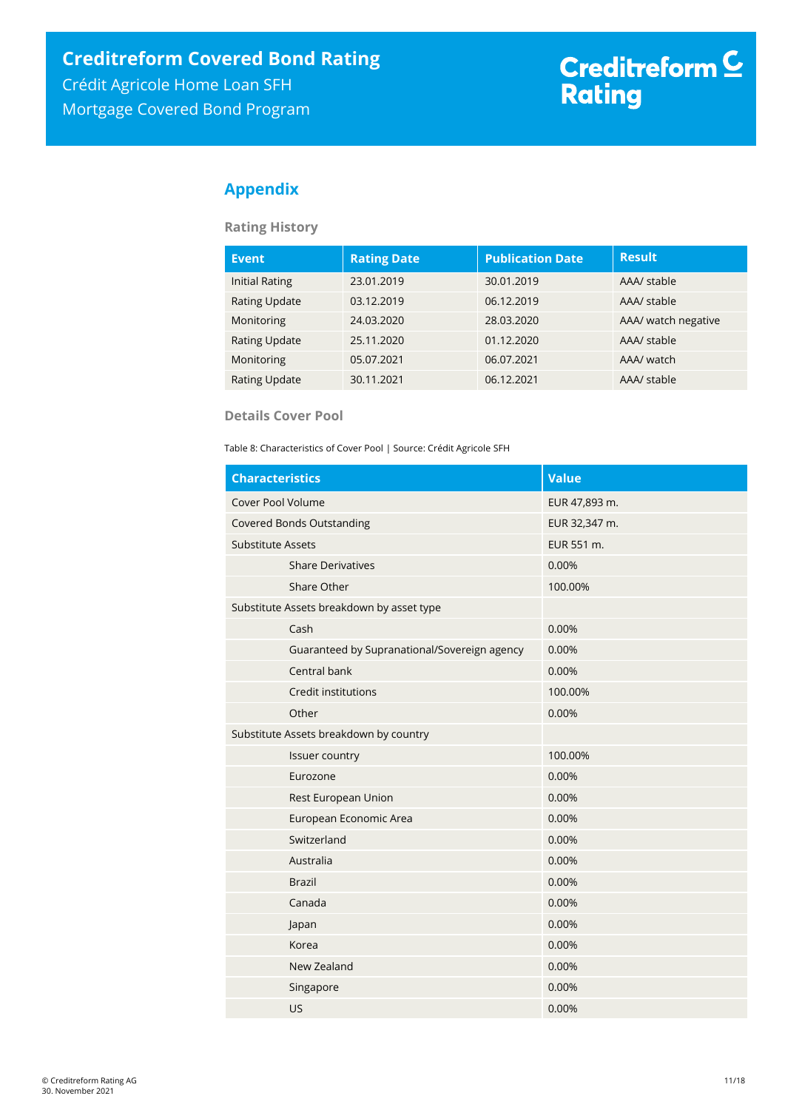## <span id="page-10-0"></span>**Appendix**

#### **Rating History**

| <b>Event</b>          | <b>Rating Date</b> | <b>Publication Date</b> | <b>Result</b>       |
|-----------------------|--------------------|-------------------------|---------------------|
| <b>Initial Rating</b> | 23.01.2019         | 30.01.2019              | AAA/ stable         |
| <b>Rating Update</b>  | 03.12.2019         | 06.12.2019              | AAA/ stable         |
| Monitoring            | 24.03.2020         | 28.03.2020              | AAA/ watch negative |
| <b>Rating Update</b>  | 25.11.2020         | 01.12.2020              | AAA/ stable         |
| Monitoring            | 05.07.2021         | 06.07.2021              | AAA/ watch          |
| <b>Rating Update</b>  | 30.11.2021         | 06.12.2021              | AAA/ stable         |

#### **Details Cover Pool**

Table 8: Characteristics of Cover Pool | Source: Crédit Agricole SFH

| <b>Characteristics</b>                       | <b>Value</b>  |
|----------------------------------------------|---------------|
| Cover Pool Volume                            | EUR 47,893 m. |
| <b>Covered Bonds Outstanding</b>             | EUR 32,347 m. |
| <b>Substitute Assets</b>                     | EUR 551 m.    |
| <b>Share Derivatives</b>                     | 0.00%         |
| Share Other                                  | 100.00%       |
| Substitute Assets breakdown by asset type    |               |
| Cash                                         | 0.00%         |
| Guaranteed by Supranational/Sovereign agency | 0.00%         |
| Central bank                                 | 0.00%         |
| Credit institutions                          | 100.00%       |
| Other                                        | 0.00%         |
| Substitute Assets breakdown by country       |               |
| Issuer country                               | 100.00%       |
| Eurozone                                     | 0.00%         |
| Rest European Union                          | 0.00%         |
| European Economic Area                       | 0.00%         |
| Switzerland                                  | 0.00%         |
| Australia                                    | 0.00%         |
| <b>Brazil</b>                                | 0.00%         |
| Canada                                       | 0.00%         |
| Japan                                        | 0.00%         |
| Korea                                        | 0.00%         |
| New Zealand                                  | 0.00%         |
| Singapore                                    | 0.00%         |
| US                                           | 0.00%         |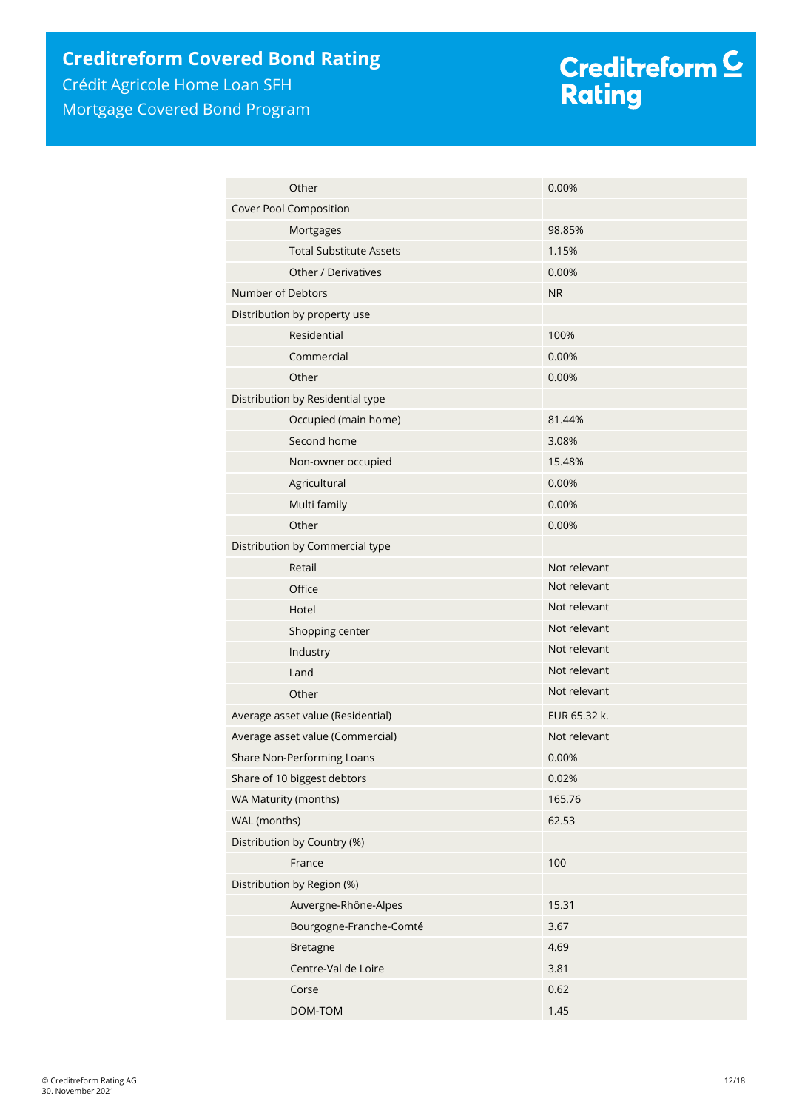# **Creditreform Covered Bond Rating**

Crédit Agricole Home Loan SFH Mortgage Covered Bond Program

# Creditreform <mark>C</mark><br>Rating

| Other                             | 0.00%        |
|-----------------------------------|--------------|
| Cover Pool Composition            |              |
| Mortgages                         | 98.85%       |
| <b>Total Substitute Assets</b>    | 1.15%        |
| Other / Derivatives               | 0.00%        |
| Number of Debtors                 | <b>NR</b>    |
| Distribution by property use      |              |
| Residential                       | 100%         |
| Commercial                        | 0.00%        |
| Other                             | 0.00%        |
| Distribution by Residential type  |              |
| Occupied (main home)              | 81.44%       |
| Second home                       | 3.08%        |
| Non-owner occupied                | 15.48%       |
| Agricultural                      | 0.00%        |
| Multi family                      | 0.00%        |
| Other                             | 0.00%        |
| Distribution by Commercial type   |              |
| Retail                            | Not relevant |
| Office                            | Not relevant |
| Hotel                             | Not relevant |
| Shopping center                   | Not relevant |
| Industry                          | Not relevant |
| Land                              | Not relevant |
| Other                             | Not relevant |
| Average asset value (Residential) | EUR 65.32 k. |
| Average asset value (Commercial)  | Not relevant |
| Share Non-Performing Loans        | 0.00%        |
| Share of 10 biggest debtors       | 0.02%        |
| WA Maturity (months)              | 165.76       |
| WAL (months)                      | 62.53        |
| Distribution by Country (%)       |              |
| France                            | 100          |
| Distribution by Region (%)        |              |
| Auvergne-Rhône-Alpes              | 15.31        |
| Bourgogne-Franche-Comté           | 3.67         |
| Bretagne                          | 4.69         |
| Centre-Val de Loire               | 3.81         |
| Corse                             | 0.62         |
| DOM-TOM                           | 1.45         |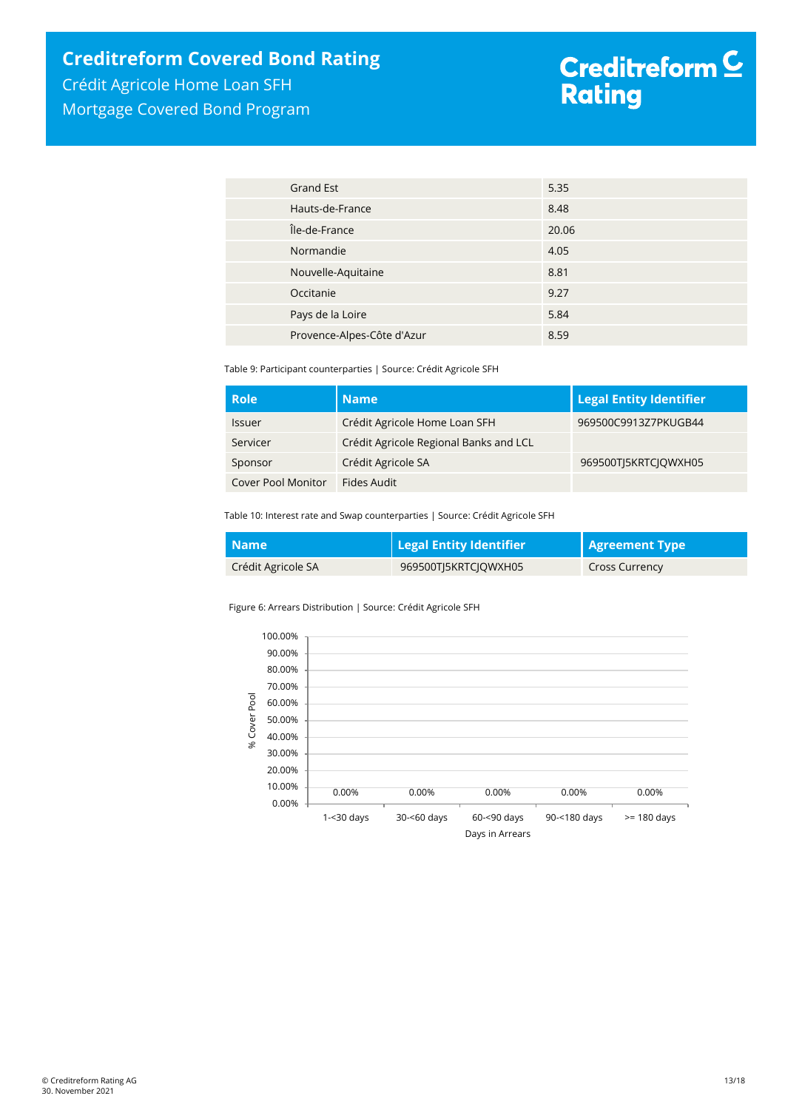# Crédit Agricole Home Loan SFH Mortgage Covered Bond Program

# Creditreform<sup>C</sup> **Rating**

| Grand Est                  | 5.35  |
|----------------------------|-------|
| Hauts-de-France            | 8.48  |
| Île-de-France              | 20.06 |
| Normandie                  | 4.05  |
| Nouvelle-Aquitaine         | 8.81  |
| Occitanie                  | 9.27  |
| Pays de la Loire           | 5.84  |
| Provence-Alpes-Côte d'Azur | 8.59  |

Table 9: Participant counterparties | Source: Crédit Agricole SFH

| <b>Role</b>        | <b>Name</b>                            | <b>Legal Entity Identifier</b> |
|--------------------|----------------------------------------|--------------------------------|
| <b>Issuer</b>      | Crédit Agricole Home Loan SFH          | 969500C9913Z7PKUGB44           |
| Servicer           | Crédit Agricole Regional Banks and LCL |                                |
| Sponsor            | Crédit Agricole SA                     | 969500TI5KRTCJOWXH05           |
| Cover Pool Monitor | Fides Audit                            |                                |

Table 10: Interest rate and Swap counterparties | Source: Crédit Agricole SFH

| l Name i           | Legal Entity Identifier | <b>Agreement Type</b> |
|--------------------|-------------------------|-----------------------|
| Crédit Agricole SA | 969500TJ5KRTCJQWXH05    | <b>Cross Currency</b> |

Figure 6: Arrears Distribution | Source: Crédit Agricole SFH

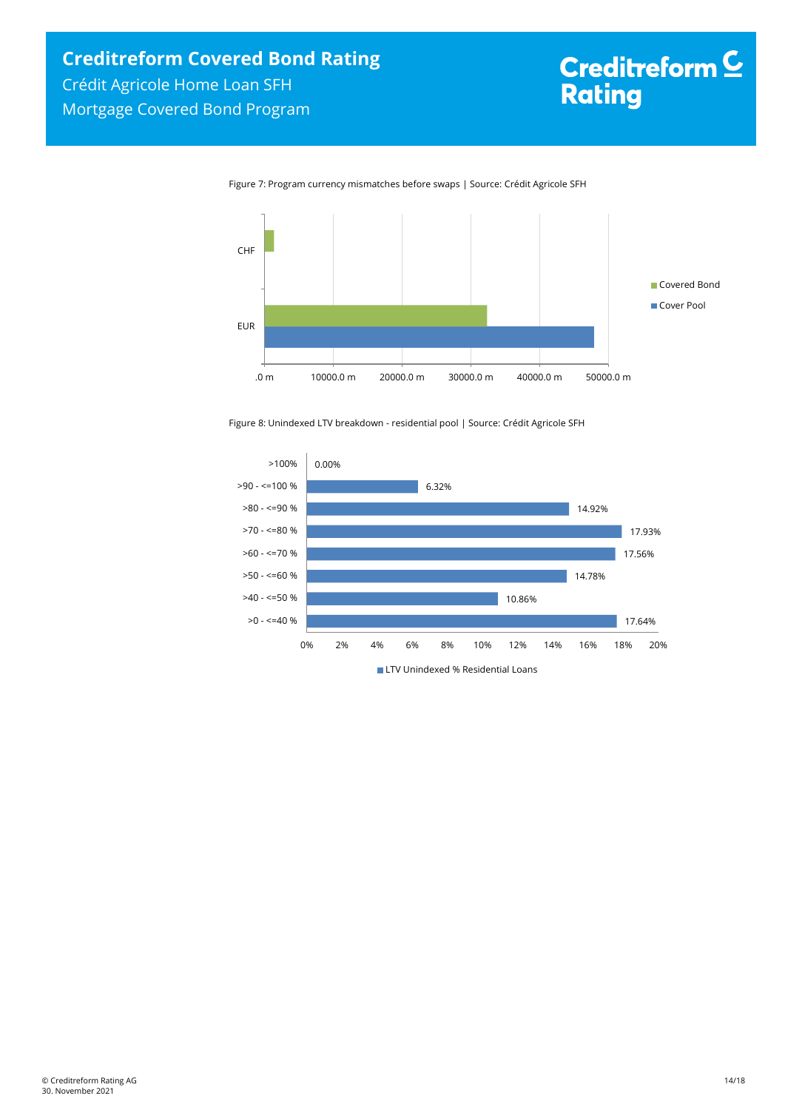# Creditreform <mark>C</mark><br>Rating

Figure 7: Program currency mismatches before swaps | Source: Crédit Agricole SFH



Figure 8: Unindexed LTV breakdown - residential pool | Source: Crédit Agricole SFH

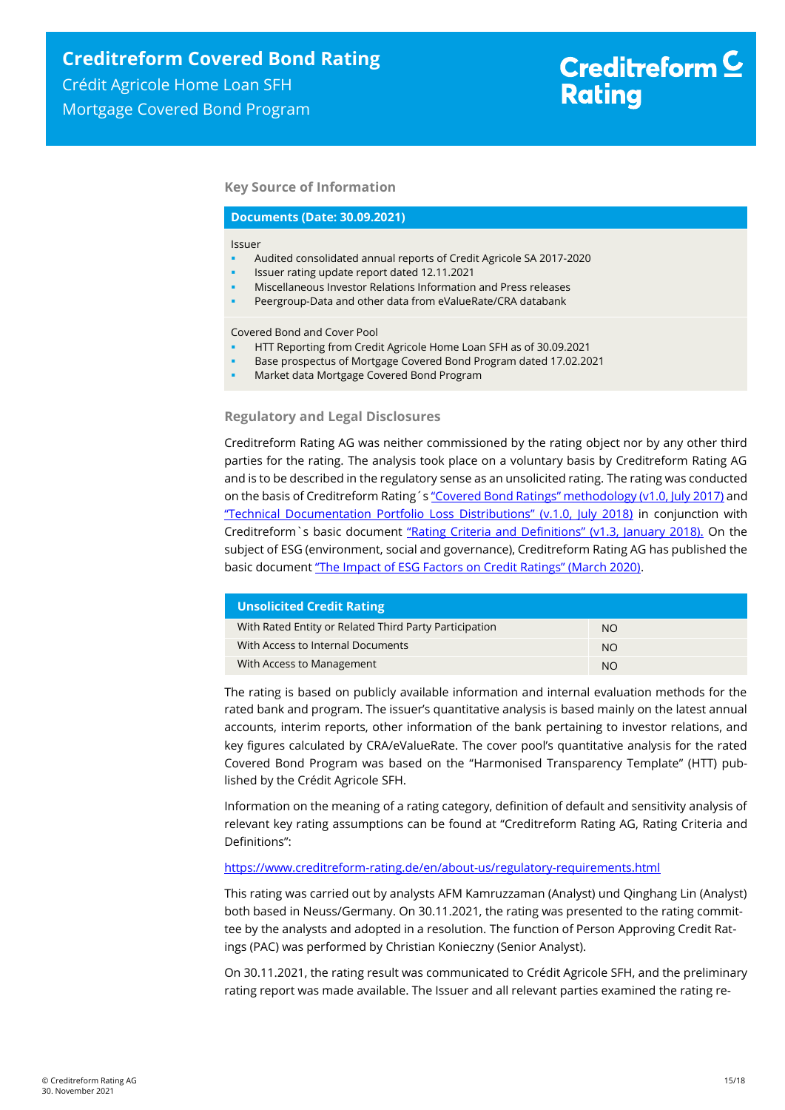#### **Key Source of Information**

#### **Documents (Date: 30.09.2021)**

#### Issuer

- Audited consolidated annual reports of Credit Agricole SA 2017-2020
- Issuer rating update report dated 12.11.2021
- Miscellaneous Investor Relations Information and Press releases
- Peergroup-Data and other data from eValueRate/CRA databank

Covered Bond and Cover Pool

- HTT Reporting from Credit Agricole Home Loan SFH as of 30.09.2021
- Base prospectus of Mortgage Covered Bond Program dated 17.02.2021
- Market data Mortgage Covered Bond Program

#### **Regulatory and Legal Disclosures**

Creditreform Rating AG was neither commissioned by the rating object nor by any other third parties for the rating. The analysis took place on a voluntary basis by Creditreform Rating AG and is to be described in the regulatory sense as an unsolicited rating. The rating was conducted on the basis of Creditreform Rating's ["Covered Bond Ratings" methodology \(v1.0, July 2017\)](https://creditreform-rating.de/en/about-us/regulatory-requirements.html?file=files/content/downloads/Externes%20Rating/Regulatorische%20Anforderungen/EN/Ratingmethodiken%20EN/Rating%20Methodology%20Covered%20Bonds.pdf) and ["Technical Documentation Portfolio Loss Distributions" \(v.1.0, July 2018\)](https://creditreform-rating.de/en/about-us/regulatory-requirements.html?file=files/content/downloads/Externes%20Rating/Regulatorische%20Anforderungen/EN/Ratingmethodiken%20EN/Technical%20Documentation%20Portfolio%20Loss%20Distributions.pdf) in conjunction with Creditreform`s basic document ["Rating Criteria and Definitions" \(v1.3, January 2018\).](https://creditreform-rating.de/en/about-us/regulatory-requirements.html?file=files/content/downloads/Externes%20Rating/Regulatorische%20Anforderungen/EN/Ratingmethodiken%20EN/CRAG%20Rating%20Criteria%20and%20Definitions.pdf) On the subject of ESG (environment, social and governance), Creditreform Rating AG has published the basic document ["The Impact of ESG Factors on Credit Ratings" \(March 2020\)](https://creditreform-rating.de/en/about-us/regulatory-requirements.html?file=files/content/downloads/Externes%20Rating/Regulatorische%20Anforderungen/EN/Ratingmethodiken%20EN/The%20Impact%20of%20ESG%20Factors%20on%20Credit%20Ratings.pdf).

| <b>Unsolicited Credit Rating</b>                       |           |
|--------------------------------------------------------|-----------|
| With Rated Entity or Related Third Party Participation | NO.       |
| With Access to Internal Documents                      | <b>NO</b> |
| With Access to Management                              | <b>NO</b> |

The rating is based on publicly available information and internal evaluation methods for the rated bank and program. The issuer's quantitative analysis is based mainly on the latest annual accounts, interim reports, other information of the bank pertaining to investor relations, and key figures calculated by CRA/eValueRate. The cover pool's quantitative analysis for the rated Covered Bond Program was based on the "Harmonised Transparency Template" (HTT) published by the Crédit Agricole SFH.

Information on the meaning of a rating category, definition of default and sensitivity analysis of relevant key rating assumptions can be found at "Creditreform Rating AG, Rating Criteria and Definitions":

#### <https://www.creditreform-rating.de/en/about-us/regulatory-requirements.html>

This rating was carried out by analysts AFM Kamruzzaman (Analyst) und Qinghang Lin (Analyst) both based in Neuss/Germany. On 30.11.2021, the rating was presented to the rating committee by the analysts and adopted in a resolution. The function of Person Approving Credit Ratings (PAC) was performed by Christian Konieczny (Senior Analyst).

On 30.11.2021, the rating result was communicated to Crédit Agricole SFH, and the preliminary rating report was made available. The Issuer and all relevant parties examined the rating re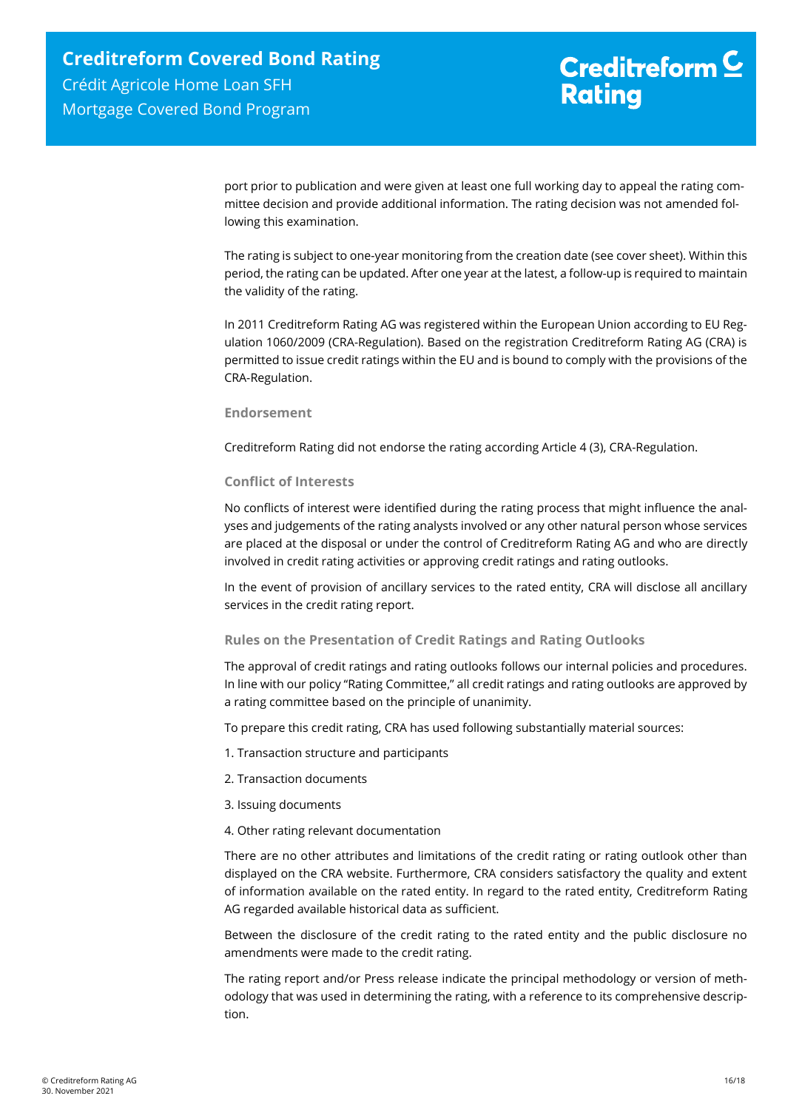port prior to publication and were given at least one full working day to appeal the rating committee decision and provide additional information. The rating decision was not amended following this examination.

The rating is subject to one-year monitoring from the creation date (see cover sheet). Within this period, the rating can be updated. After one year at the latest, a follow-up is required to maintain the validity of the rating.

In 2011 Creditreform Rating AG was registered within the European Union according to EU Regulation 1060/2009 (CRA-Regulation). Based on the registration Creditreform Rating AG (CRA) is permitted to issue credit ratings within the EU and is bound to comply with the provisions of the CRA-Regulation.

#### **Endorsement**

Creditreform Rating did not endorse the rating according Article 4 (3), CRA-Regulation.

#### **Conflict of Interests**

No conflicts of interest were identified during the rating process that might influence the analyses and judgements of the rating analysts involved or any other natural person whose services are placed at the disposal or under the control of Creditreform Rating AG and who are directly involved in credit rating activities or approving credit ratings and rating outlooks.

In the event of provision of ancillary services to the rated entity, CRA will disclose all ancillary services in the credit rating report.

#### **Rules on the Presentation of Credit Ratings and Rating Outlooks**

The approval of credit ratings and rating outlooks follows our internal policies and procedures. In line with our policy "Rating Committee," all credit ratings and rating outlooks are approved by a rating committee based on the principle of unanimity.

To prepare this credit rating, CRA has used following substantially material sources:

- 1. Transaction structure and participants
- 2. Transaction documents
- 3. Issuing documents
- 4. Other rating relevant documentation

There are no other attributes and limitations of the credit rating or rating outlook other than displayed on the CRA website. Furthermore, CRA considers satisfactory the quality and extent of information available on the rated entity. In regard to the rated entity, Creditreform Rating AG regarded available historical data as sufficient.

Between the disclosure of the credit rating to the rated entity and the public disclosure no amendments were made to the credit rating.

The rating report and/or Press release indicate the principal methodology or version of methodology that was used in determining the rating, with a reference to its comprehensive description.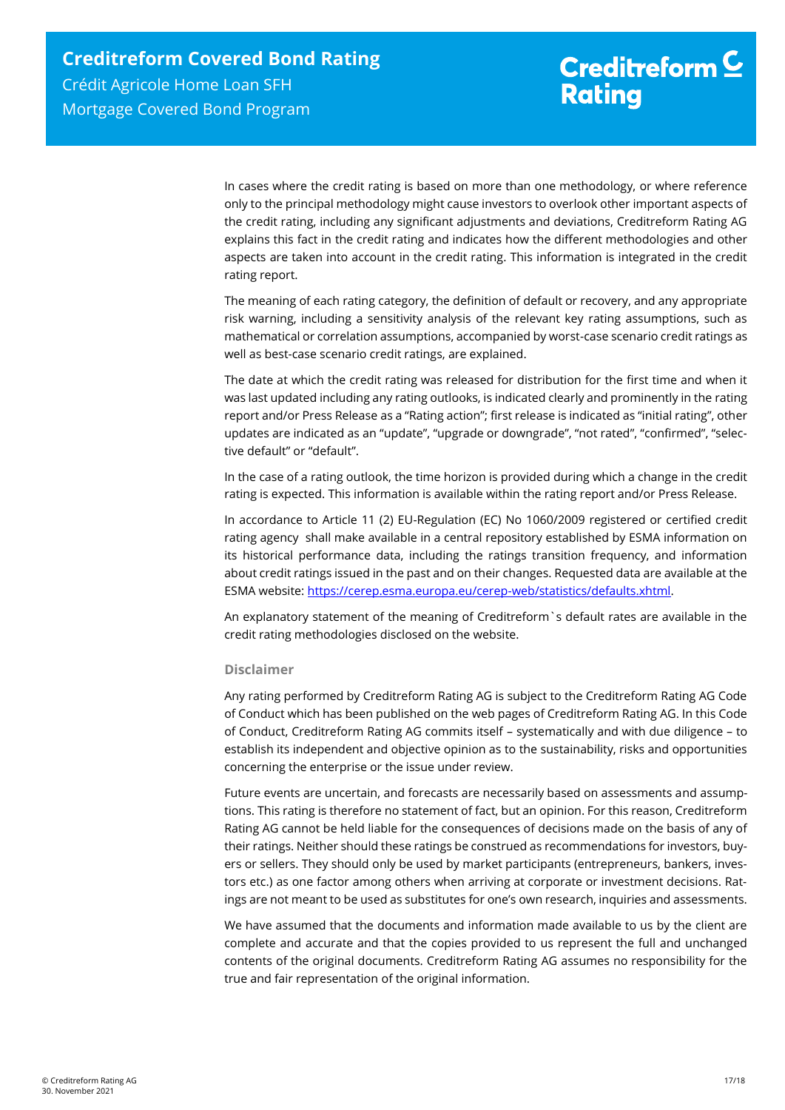In cases where the credit rating is based on more than one methodology, or where reference only to the principal methodology might cause investors to overlook other important aspects of the credit rating, including any significant adjustments and deviations, Creditreform Rating AG explains this fact in the credit rating and indicates how the different methodologies and other aspects are taken into account in the credit rating. This information is integrated in the credit rating report.

The meaning of each rating category, the definition of default or recovery, and any appropriate risk warning, including a sensitivity analysis of the relevant key rating assumptions, such as mathematical or correlation assumptions, accompanied by worst-case scenario credit ratings as well as best-case scenario credit ratings, are explained.

The date at which the credit rating was released for distribution for the first time and when it was last updated including any rating outlooks, is indicated clearly and prominently in the rating report and/or Press Release as a "Rating action"; first release is indicated as "initial rating", other updates are indicated as an "update", "upgrade or downgrade", "not rated", "confirmed", "selective default" or "default".

In the case of a rating outlook, the time horizon is provided during which a change in the credit rating is expected. This information is available within the rating report and/or Press Release.

In accordance to Article 11 (2) EU-Regulation (EC) No 1060/2009 registered or certified credit rating agency shall make available in a central repository established by ESMA information on its historical performance data, including the ratings transition frequency, and information about credit ratings issued in the past and on their changes. Requested data are available at the ESMA website: [https://cerep.esma.europa.eu/cerep-web/statistics/defaults.xhtml.](https://cerep.esma.europa.eu/cerep-web/statistics/defaults.xhtml)

An explanatory statement of the meaning of Creditreform`s default rates are available in the credit rating methodologies disclosed on the website.

#### **Disclaimer**

Any rating performed by Creditreform Rating AG is subject to the Creditreform Rating AG Code of Conduct which has been published on the web pages of Creditreform Rating AG. In this Code of Conduct, Creditreform Rating AG commits itself – systematically and with due diligence – to establish its independent and objective opinion as to the sustainability, risks and opportunities concerning the enterprise or the issue under review.

Future events are uncertain, and forecasts are necessarily based on assessments and assumptions. This rating is therefore no statement of fact, but an opinion. For this reason, Creditreform Rating AG cannot be held liable for the consequences of decisions made on the basis of any of their ratings. Neither should these ratings be construed as recommendations for investors, buyers or sellers. They should only be used by market participants (entrepreneurs, bankers, investors etc.) as one factor among others when arriving at corporate or investment decisions. Ratings are not meant to be used as substitutes for one's own research, inquiries and assessments.

We have assumed that the documents and information made available to us by the client are complete and accurate and that the copies provided to us represent the full and unchanged contents of the original documents. Creditreform Rating AG assumes no responsibility for the true and fair representation of the original information.